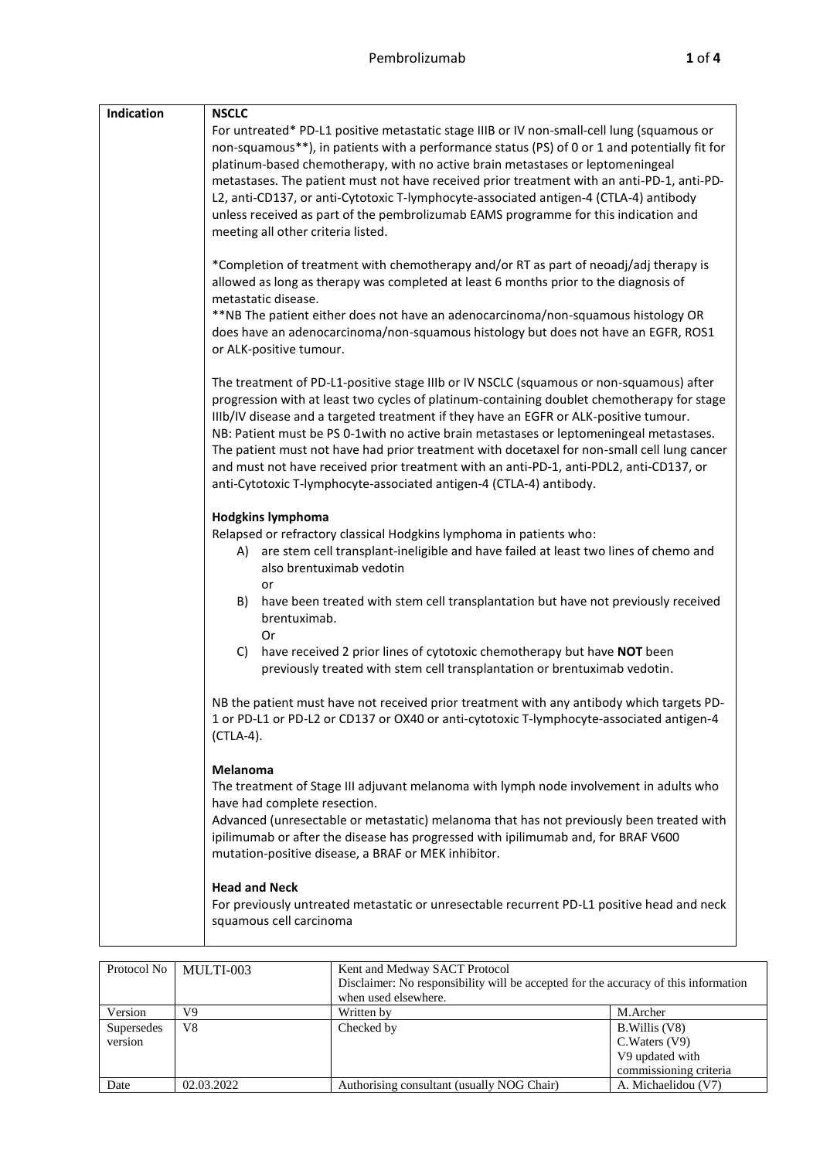| Indication | <b>NSCLC</b>                                                                                                                                                                                                                                                                                                                                                                                                                                                                                                                                                                                                                               |
|------------|--------------------------------------------------------------------------------------------------------------------------------------------------------------------------------------------------------------------------------------------------------------------------------------------------------------------------------------------------------------------------------------------------------------------------------------------------------------------------------------------------------------------------------------------------------------------------------------------------------------------------------------------|
|            | For untreated* PD-L1 positive metastatic stage IIIB or IV non-small-cell lung (squamous or<br>non-squamous**), in patients with a performance status (PS) of 0 or 1 and potentially fit for<br>platinum-based chemotherapy, with no active brain metastases or leptomeningeal<br>metastases. The patient must not have received prior treatment with an anti-PD-1, anti-PD-<br>L2, anti-CD137, or anti-Cytotoxic T-lymphocyte-associated antigen-4 (CTLA-4) antibody<br>unless received as part of the pembrolizumab EAMS programme for this indication and<br>meeting all other criteria listed.                                          |
|            | *Completion of treatment with chemotherapy and/or RT as part of neoadj/adj therapy is<br>allowed as long as therapy was completed at least 6 months prior to the diagnosis of<br>metastatic disease.<br>**NB The patient either does not have an adenocarcinoma/non-squamous histology OR<br>does have an adenocarcinoma/non-squamous histology but does not have an EGFR, ROS1<br>or ALK-positive tumour.                                                                                                                                                                                                                                 |
|            | The treatment of PD-L1-positive stage IIIb or IV NSCLC (squamous or non-squamous) after<br>progression with at least two cycles of platinum-containing doublet chemotherapy for stage<br>IIIb/IV disease and a targeted treatment if they have an EGFR or ALK-positive tumour.<br>NB: Patient must be PS 0-1with no active brain metastases or leptomeningeal metastases.<br>The patient must not have had prior treatment with docetaxel for non-small cell lung cancer<br>and must not have received prior treatment with an anti-PD-1, anti-PDL2, anti-CD137, or<br>anti-Cytotoxic T-lymphocyte-associated antigen-4 (CTLA-4) antibody. |
|            | <b>Hodgkins lymphoma</b><br>Relapsed or refractory classical Hodgkins lymphoma in patients who:<br>are stem cell transplant-ineligible and have failed at least two lines of chemo and<br>A) -<br>also brentuximab vedotin<br>or<br>have been treated with stem cell transplantation but have not previously received<br>B)<br>brentuximab.<br>Or<br>have received 2 prior lines of cytotoxic chemotherapy but have NOT been<br>C)<br>previously treated with stem cell transplantation or brentuximab vedotin.                                                                                                                            |
|            | NB the patient must have not received prior treatment with any antibody which targets PD-<br>1 or PD-L1 or PD-L2 or CD137 or OX40 or anti-cytotoxic T-lymphocyte-associated antigen-4<br>(CTLA-4).                                                                                                                                                                                                                                                                                                                                                                                                                                         |
|            | Melanoma<br>The treatment of Stage III adjuvant melanoma with lymph node involvement in adults who<br>have had complete resection.<br>Advanced (unresectable or metastatic) melanoma that has not previously been treated with<br>ipilimumab or after the disease has progressed with ipilimumab and, for BRAF V600<br>mutation-positive disease, a BRAF or MEK inhibitor.                                                                                                                                                                                                                                                                 |
|            | <b>Head and Neck</b><br>For previously untreated metastatic or unresectable recurrent PD-L1 positive head and neck<br>squamous cell carcinoma                                                                                                                                                                                                                                                                                                                                                                                                                                                                                              |

|                       | Protocol No   MULTI-003 | Kent and Medway SACT Protocol<br>Disclaimer: No responsibility will be accepted for the accuracy of this information<br>when used elsewhere. |                                                                               |  |
|-----------------------|-------------------------|----------------------------------------------------------------------------------------------------------------------------------------------|-------------------------------------------------------------------------------|--|
| Version               | V9                      | Written by                                                                                                                                   | M.Archer                                                                      |  |
| Supersedes<br>version | V8                      | Checked by                                                                                                                                   | B. Willis (V8)<br>C. Waters (V9)<br>V9 updated with<br>commissioning criteria |  |
| Date                  | 02.03.2022              | Authorising consultant (usually NOG Chair)                                                                                                   | A. Michaelidou (V7)                                                           |  |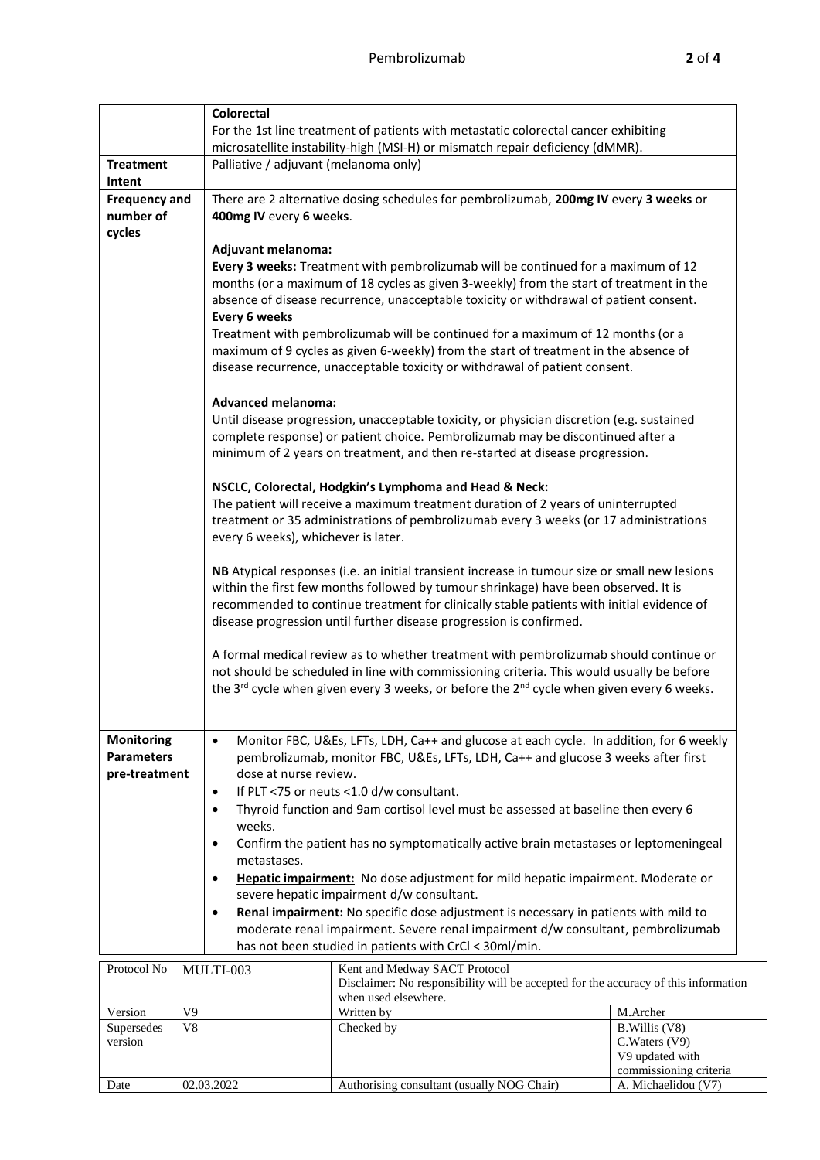|                                                         |                                                                                                                                                                                                                                                                                                                                                                                                                                                                                                                                                                                                                                                                                                                                                                                                                                                                                                            | <b>Colorectal</b>                                                                                                                                                                                                                                                                                                                                                                                                                                                                                                                                                                                                                                                   |                                                                                                                                                                                                                                                                                                                                                                                                                                                                                                                                                                                                                                                                                                                                                                                                                                                                                                                                                                                                                                                                                                                                                                          |                                  |  |  |  |
|---------------------------------------------------------|------------------------------------------------------------------------------------------------------------------------------------------------------------------------------------------------------------------------------------------------------------------------------------------------------------------------------------------------------------------------------------------------------------------------------------------------------------------------------------------------------------------------------------------------------------------------------------------------------------------------------------------------------------------------------------------------------------------------------------------------------------------------------------------------------------------------------------------------------------------------------------------------------------|---------------------------------------------------------------------------------------------------------------------------------------------------------------------------------------------------------------------------------------------------------------------------------------------------------------------------------------------------------------------------------------------------------------------------------------------------------------------------------------------------------------------------------------------------------------------------------------------------------------------------------------------------------------------|--------------------------------------------------------------------------------------------------------------------------------------------------------------------------------------------------------------------------------------------------------------------------------------------------------------------------------------------------------------------------------------------------------------------------------------------------------------------------------------------------------------------------------------------------------------------------------------------------------------------------------------------------------------------------------------------------------------------------------------------------------------------------------------------------------------------------------------------------------------------------------------------------------------------------------------------------------------------------------------------------------------------------------------------------------------------------------------------------------------------------------------------------------------------------|----------------------------------|--|--|--|
|                                                         |                                                                                                                                                                                                                                                                                                                                                                                                                                                                                                                                                                                                                                                                                                                                                                                                                                                                                                            |                                                                                                                                                                                                                                                                                                                                                                                                                                                                                                                                                                                                                                                                     | For the 1st line treatment of patients with metastatic colorectal cancer exhibiting                                                                                                                                                                                                                                                                                                                                                                                                                                                                                                                                                                                                                                                                                                                                                                                                                                                                                                                                                                                                                                                                                      |                                  |  |  |  |
|                                                         |                                                                                                                                                                                                                                                                                                                                                                                                                                                                                                                                                                                                                                                                                                                                                                                                                                                                                                            | microsatellite instability-high (MSI-H) or mismatch repair deficiency (dMMR).                                                                                                                                                                                                                                                                                                                                                                                                                                                                                                                                                                                       |                                                                                                                                                                                                                                                                                                                                                                                                                                                                                                                                                                                                                                                                                                                                                                                                                                                                                                                                                                                                                                                                                                                                                                          |                                  |  |  |  |
| <b>Treatment</b><br>Intent                              |                                                                                                                                                                                                                                                                                                                                                                                                                                                                                                                                                                                                                                                                                                                                                                                                                                                                                                            | Palliative / adjuvant (melanoma only)                                                                                                                                                                                                                                                                                                                                                                                                                                                                                                                                                                                                                               |                                                                                                                                                                                                                                                                                                                                                                                                                                                                                                                                                                                                                                                                                                                                                                                                                                                                                                                                                                                                                                                                                                                                                                          |                                  |  |  |  |
| <b>Frequency and</b><br>number of<br>cycles             |                                                                                                                                                                                                                                                                                                                                                                                                                                                                                                                                                                                                                                                                                                                                                                                                                                                                                                            | 400mg IV every 6 weeks.<br>Adjuvant melanoma:<br>Every 6 weeks<br><b>Advanced melanoma:</b>                                                                                                                                                                                                                                                                                                                                                                                                                                                                                                                                                                         | There are 2 alternative dosing schedules for pembrolizumab, 200mg IV every 3 weeks or<br>Every 3 weeks: Treatment with pembrolizumab will be continued for a maximum of 12<br>months (or a maximum of 18 cycles as given 3-weekly) from the start of treatment in the<br>absence of disease recurrence, unacceptable toxicity or withdrawal of patient consent.<br>Treatment with pembrolizumab will be continued for a maximum of 12 months (or a<br>maximum of 9 cycles as given 6-weekly) from the start of treatment in the absence of<br>disease recurrence, unacceptable toxicity or withdrawal of patient consent.<br>Until disease progression, unacceptable toxicity, or physician discretion (e.g. sustained<br>complete response) or patient choice. Pembrolizumab may be discontinued after a<br>minimum of 2 years on treatment, and then re-started at disease progression.<br>NSCLC, Colorectal, Hodgkin's Lymphoma and Head & Neck:<br>The patient will receive a maximum treatment duration of 2 years of uninterrupted<br>treatment or 35 administrations of pembrolizumab every 3 weeks (or 17 administrations<br>every 6 weeks), whichever is later. |                                  |  |  |  |
|                                                         |                                                                                                                                                                                                                                                                                                                                                                                                                                                                                                                                                                                                                                                                                                                                                                                                                                                                                                            | NB Atypical responses (i.e. an initial transient increase in tumour size or small new lesions<br>within the first few months followed by tumour shrinkage) have been observed. It is<br>recommended to continue treatment for clinically stable patients with initial evidence of<br>disease progression until further disease progression is confirmed.<br>A formal medical review as to whether treatment with pembrolizumab should continue or<br>not should be scheduled in line with commissioning criteria. This would usually be before<br>the 3 <sup>rd</sup> cycle when given every 3 weeks, or before the 2 <sup>nd</sup> cycle when given every 6 weeks. |                                                                                                                                                                                                                                                                                                                                                                                                                                                                                                                                                                                                                                                                                                                                                                                                                                                                                                                                                                                                                                                                                                                                                                          |                                  |  |  |  |
| <b>Monitoring</b><br><b>Parameters</b><br>pre-treatment | Monitor FBC, U&Es, LFTs, LDH, Ca++ and glucose at each cycle. In addition, for 6 weekly<br>$\bullet$<br>pembrolizumab, monitor FBC, U&Es, LFTs, LDH, Ca++ and glucose 3 weeks after first<br>dose at nurse review.<br>If PLT <75 or neuts <1.0 d/w consultant.<br>$\bullet$<br>Thyroid function and 9am cortisol level must be assessed at baseline then every 6<br>$\bullet$<br>weeks.<br>Confirm the patient has no symptomatically active brain metastases or leptomeningeal<br>$\bullet$<br>metastases.<br>Hepatic impairment: No dose adjustment for mild hepatic impairment. Moderate or<br>$\bullet$<br>severe hepatic impairment d/w consultant.<br>Renal impairment: No specific dose adjustment is necessary in patients with mild to<br>$\bullet$<br>moderate renal impairment. Severe renal impairment d/w consultant, pembrolizumab<br>has not been studied in patients with CrCl < 30ml/min. |                                                                                                                                                                                                                                                                                                                                                                                                                                                                                                                                                                                                                                                                     |                                                                                                                                                                                                                                                                                                                                                                                                                                                                                                                                                                                                                                                                                                                                                                                                                                                                                                                                                                                                                                                                                                                                                                          |                                  |  |  |  |
| Protocol No                                             |                                                                                                                                                                                                                                                                                                                                                                                                                                                                                                                                                                                                                                                                                                                                                                                                                                                                                                            | MULTI-003                                                                                                                                                                                                                                                                                                                                                                                                                                                                                                                                                                                                                                                           | Kent and Medway SACT Protocol<br>Disclaimer: No responsibility will be accepted for the accuracy of this information<br>when used elsewhere.                                                                                                                                                                                                                                                                                                                                                                                                                                                                                                                                                                                                                                                                                                                                                                                                                                                                                                                                                                                                                             |                                  |  |  |  |
| Version                                                 | V <sub>9</sub>                                                                                                                                                                                                                                                                                                                                                                                                                                                                                                                                                                                                                                                                                                                                                                                                                                                                                             |                                                                                                                                                                                                                                                                                                                                                                                                                                                                                                                                                                                                                                                                     | Written by                                                                                                                                                                                                                                                                                                                                                                                                                                                                                                                                                                                                                                                                                                                                                                                                                                                                                                                                                                                                                                                                                                                                                               | M.Archer                         |  |  |  |
| Supersedes<br>version                                   | V8                                                                                                                                                                                                                                                                                                                                                                                                                                                                                                                                                                                                                                                                                                                                                                                                                                                                                                         |                                                                                                                                                                                                                                                                                                                                                                                                                                                                                                                                                                                                                                                                     | Checked by                                                                                                                                                                                                                                                                                                                                                                                                                                                                                                                                                                                                                                                                                                                                                                                                                                                                                                                                                                                                                                                                                                                                                               | B. Willis (V8)<br>C. Waters (V9) |  |  |  |

Date 02.03.2022 Authorising consultant (usually NOG Chair)

V9 updated with commissioning criteria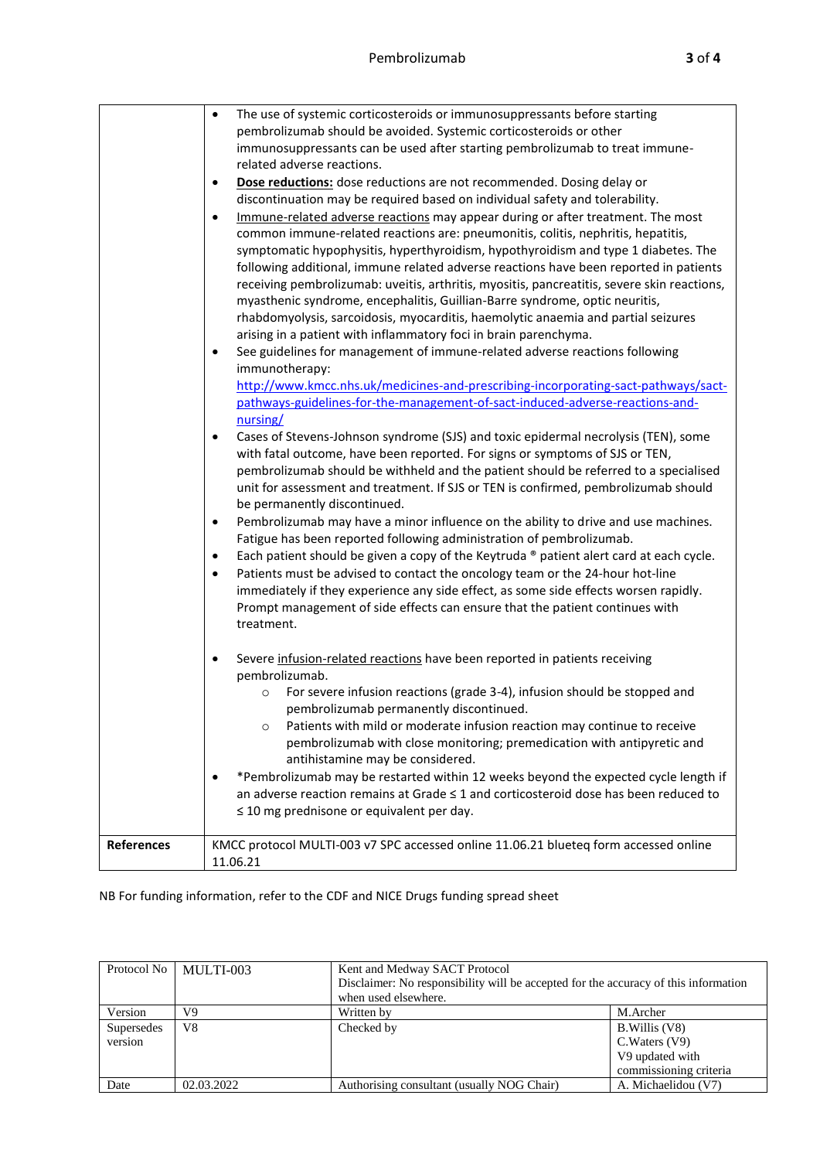|                   | The use of systemic corticosteroids or immunosuppressants before starting<br>$\bullet$                                                                           |
|-------------------|------------------------------------------------------------------------------------------------------------------------------------------------------------------|
|                   | pembrolizumab should be avoided. Systemic corticosteroids or other                                                                                               |
|                   | immunosuppressants can be used after starting pembrolizumab to treat immune-                                                                                     |
|                   | related adverse reactions.                                                                                                                                       |
|                   | Dose reductions: dose reductions are not recommended. Dosing delay or<br>$\bullet$                                                                               |
|                   | discontinuation may be required based on individual safety and tolerability.                                                                                     |
|                   | Immune-related adverse reactions may appear during or after treatment. The most<br>$\bullet$                                                                     |
|                   | common immune-related reactions are: pneumonitis, colitis, nephritis, hepatitis,                                                                                 |
|                   | symptomatic hypophysitis, hyperthyroidism, hypothyroidism and type 1 diabetes. The                                                                               |
|                   | following additional, immune related adverse reactions have been reported in patients                                                                            |
|                   | receiving pembrolizumab: uveitis, arthritis, myositis, pancreatitis, severe skin reactions,                                                                      |
|                   | myasthenic syndrome, encephalitis, Guillian-Barre syndrome, optic neuritis,<br>rhabdomyolysis, sarcoidosis, myocarditis, haemolytic anaemia and partial seizures |
|                   | arising in a patient with inflammatory foci in brain parenchyma.                                                                                                 |
|                   | See guidelines for management of immune-related adverse reactions following<br>٠                                                                                 |
|                   | immunotherapy:                                                                                                                                                   |
|                   | http://www.kmcc.nhs.uk/medicines-and-prescribing-incorporating-sact-pathways/sact-                                                                               |
|                   | pathways-guidelines-for-the-management-of-sact-induced-adverse-reactions-and-                                                                                    |
|                   | nursing/                                                                                                                                                         |
|                   | Cases of Stevens-Johnson syndrome (SJS) and toxic epidermal necrolysis (TEN), some<br>$\bullet$                                                                  |
|                   | with fatal outcome, have been reported. For signs or symptoms of SJS or TEN,                                                                                     |
|                   | pembrolizumab should be withheld and the patient should be referred to a specialised                                                                             |
|                   | unit for assessment and treatment. If SJS or TEN is confirmed, pembrolizumab should                                                                              |
|                   | be permanently discontinued.                                                                                                                                     |
|                   | Pembrolizumab may have a minor influence on the ability to drive and use machines.<br>$\bullet$                                                                  |
|                   | Fatigue has been reported following administration of pembrolizumab.                                                                                             |
|                   | Each patient should be given a copy of the Keytruda ® patient alert card at each cycle.<br>$\bullet$                                                             |
|                   | Patients must be advised to contact the oncology team or the 24-hour hot-line<br>$\bullet$                                                                       |
|                   | immediately if they experience any side effect, as some side effects worsen rapidly.                                                                             |
|                   | Prompt management of side effects can ensure that the patient continues with                                                                                     |
|                   | treatment.                                                                                                                                                       |
|                   | Severe infusion-related reactions have been reported in patients receiving                                                                                       |
|                   | pembrolizumab.                                                                                                                                                   |
|                   | For severe infusion reactions (grade 3-4), infusion should be stopped and<br>$\circ$                                                                             |
|                   | pembrolizumab permanently discontinued.                                                                                                                          |
|                   | Patients with mild or moderate infusion reaction may continue to receive<br>$\circ$                                                                              |
|                   | pembrolizumab with close monitoring; premedication with antipyretic and                                                                                          |
|                   | antihistamine may be considered.                                                                                                                                 |
|                   | *Pembrolizumab may be restarted within 12 weeks beyond the expected cycle length if                                                                              |
|                   | an adverse reaction remains at Grade ≤ 1 and corticosteroid dose has been reduced to                                                                             |
|                   | $\leq$ 10 mg prednisone or equivalent per day.                                                                                                                   |
|                   |                                                                                                                                                                  |
| <b>References</b> | KMCC protocol MULTI-003 v7 SPC accessed online 11.06.21 blueteq form accessed online                                                                             |
|                   | 11.06.21                                                                                                                                                         |

NB For funding information, refer to the CDF and NICE Drugs funding spread sheet

| Protocol No           | MULTI-003  | Kent and Medway SACT Protocol<br>Disclaimer: No responsibility will be accepted for the accuracy of this information<br>when used elsewhere. |                                                                              |  |
|-----------------------|------------|----------------------------------------------------------------------------------------------------------------------------------------------|------------------------------------------------------------------------------|--|
| Version               | V9         | Written by                                                                                                                                   | M.Archer                                                                     |  |
| Supersedes<br>version | V8         | Checked by                                                                                                                                   | B. Willis (V8)<br>C.Waters (V9)<br>V9 updated with<br>commissioning criteria |  |
| Date                  | 02.03.2022 | Authorising consultant (usually NOG Chair)                                                                                                   | A. Michaelidou (V7)                                                          |  |